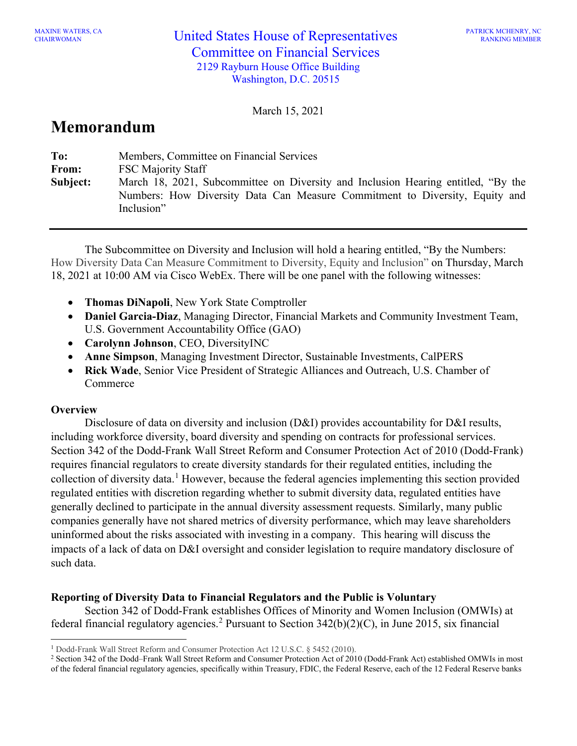March 15, 2021

# **Memorandum**

| To:      | Members, Committee on Financial Services                                                                                                                                       |
|----------|--------------------------------------------------------------------------------------------------------------------------------------------------------------------------------|
| From:    | <b>FSC Majority Staff</b>                                                                                                                                                      |
| Subject: | March 18, 2021, Subcommittee on Diversity and Inclusion Hearing entitled, "By the<br>Numbers: How Diversity Data Can Measure Commitment to Diversity, Equity and<br>Inclusion" |

The Subcommittee on Diversity and Inclusion will hold a hearing entitled, "By the Numbers: How Diversity Data Can Measure Commitment to Diversity, Equity and Inclusion" on Thursday, March 18, 2021 at 10:00 AM via Cisco WebEx. There will be one panel with the following witnesses:

- **Thomas DiNapoli**, New York State Comptroller
- **Daniel Garcia-Diaz**, Managing Director, Financial Markets and Community Investment Team, U.S. Government Accountability Office (GAO)
- **Carolynn Johnson**, CEO, DiversityINC
- **Anne Simpson**, Managing Investment Director, Sustainable Investments, CalPERS
- **Rick Wade**, Senior Vice President of Strategic Alliances and Outreach, U.S. Chamber of **Commerce**

### **Overview**

Disclosure of data on diversity and inclusion (D&I) provides accountability for D&I results, including workforce diversity, board diversity and spending on contracts for professional services. Section 342 of the Dodd-Frank Wall Street Reform and Consumer Protection Act of 2010 (Dodd-Frank) requires financial regulators to create diversity standards for their regulated entities, including the collection of diversity data.[1](#page-0-0) However, because the federal agencies implementing this section provided regulated entities with discretion regarding whether to submit diversity data, regulated entities have generally declined to participate in the annual diversity assessment requests. Similarly, many public companies generally have not shared metrics of diversity performance, which may leave shareholders uninformed about the risks associated with investing in a company. This hearing will discuss the impacts of a lack of data on D&I oversight and consider legislation to require mandatory disclosure of such data.

#### **Reporting of Diversity Data to Financial Regulators and the Public is Voluntary**

Section 342 of Dodd-Frank establishes Offices of Minority and Women Inclusion (OMWIs) at federal financial regulatory agencies. [2](#page-0-1) Pursuant to Section 342(b)(2)(C), in June 2015, six financial

<span id="page-0-0"></span><sup>1</sup> Dodd-Frank Wall Street Reform and Consumer Protection Act 12 U.S.C. § 5452 (2010).

<span id="page-0-1"></span><sup>2</sup> Section 342 of the Dodd–Frank Wall Street Reform and Consumer Protection Act of 2010 (Dodd-Frank Act) established OMWIs in most of the federal financial regulatory agencies, specifically within Treasury, FDIC, the Federal Reserve, each of the 12 Federal Reserve banks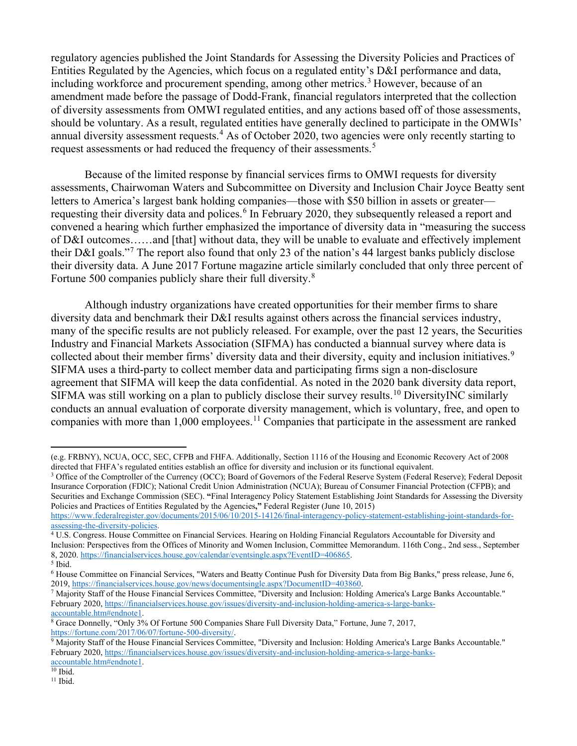regulatory agencies published the Joint Standards for Assessing the Diversity Policies and Practices of Entities Regulated by the Agencies, which focus on a regulated entity's D&I performance and data, including workforce and procurement spending, among other metrics. [3](#page-1-0) However, because of an amendment made before the passage of Dodd-Frank, financial regulators interpreted that the collection of diversity assessments from OMWI regulated entities, and any actions based off of those assessments, should be voluntary. As a result, regulated entities have generally declined to participate in the OMWIs' annual diversity assessment requests.<sup>[4](#page-1-1)</sup> As of October 2020, two agencies were only recently starting to request assessments or had reduced the frequency of their assessments.<sup>[5](#page-1-2)</sup>

Because of the limited response by financial services firms to OMWI requests for diversity assessments, Chairwoman Waters and Subcommittee on Diversity and Inclusion Chair Joyce Beatty sent letters to America's largest bank holding companies—those with \$50 billion in assets or greater— requesting their diversity data and polices.<sup>[6](#page-1-3)</sup> In February 2020, they subsequently released a report and convened a hearing which further emphasized the importance of diversity data in "measuring the success of D&I outcomes……and [that] without data, they will be unable to evaluate and effectively implement their D&I goals."[7](#page-1-4) The report also found that only 23 of the nation's 44 largest banks publicly disclose their diversity data. A June 2017 Fortune magazine article similarly concluded that only three percent of Fortune 500 companies publicly share their full diversity.<sup>[8](#page-1-5)</sup>

Although industry organizations have created opportunities for their member firms to share diversity data and benchmark their D&I results against others across the financial services industry, many of the specific results are not publicly released. For example, over the past 12 years, the Securities Industry and Financial Markets Association (SIFMA) has conducted a biannual survey where data is collected about their member firms' diversity data and their diversity, equity and inclusion initiatives.<sup>[9](#page-1-6)</sup> SIFMA uses a third-party to collect member data and participating firms sign a non-disclosure agreement that SIFMA will keep the data confidential. As noted in the 2020 bank diversity data report, SIFMA was still working on a plan to publicly disclose their survey results.<sup>[10](#page-1-7)</sup> DiversityINC similarly conducts an annual evaluation of corporate diversity management, which is voluntary, free, and open to companies with more than  $1,000$  employees.<sup>[11](#page-1-8)</sup> Companies that participate in the assessment are ranked

<span id="page-1-8"></span><sup>11</sup> Ibid.

<sup>(</sup>e.g. FRBNY), NCUA, OCC, SEC, CFPB and FHFA. Additionally, Section 1116 of the Housing and Economic Recovery Act of 2008 directed that FHFA's regulated entities establish an office for diversity and inclusion or its functional equivalent.

<span id="page-1-0"></span><sup>&</sup>lt;sup>3</sup> Office of the Comptroller of the Currency (OCC); Board of Governors of the Federal Reserve System (Federal Reserve); Federal Deposit Insurance Corporation (FDIC); National Credit Union Administration (NCUA); Bureau of Consumer Financial Protection (CFPB); and Securities and Exchange Commission (SEC). **"**Final Interagency Policy Statement Establishing Joint Standards for Assessing the Diversity Policies and Practices of Entities Regulated by the Agencies**,"** Federal Register (June 10, 2015)

[https://www.federalregister.gov/documents/2015/06/10/2015-14126/final-interagency-policy-statement-establishing-joint-standards-for](https://www.federalregister.gov/documents/2015/06/10/2015-14126/final-interagency-policy-statement-establishing-joint-standards-for-assessing-the-diversity-policies)[assessing-the-diversity-policies.](https://www.federalregister.gov/documents/2015/06/10/2015-14126/final-interagency-policy-statement-establishing-joint-standards-for-assessing-the-diversity-policies)<br><sup>4</sup> U.S. Congress. House Committee on Financial Services. Hearing on Holding Financial Regulators Accountable for Diversity and

<span id="page-1-1"></span>Inclusion: Perspectives from the Offices of Minority and Women Inclusion, Committee Memorandum. 116th Cong., 2nd sess., September 8, 2020[. https://financialservices.house.gov/calendar/eventsingle.aspx?EventID=406865.](https://financialservices.house.gov/calendar/eventsingle.aspx?EventID=406865)

<span id="page-1-2"></span><sup>5</sup> Ibid.

<span id="page-1-3"></span><sup>6</sup> House Committee on Financial Services, "Waters and Beatty Continue Push for Diversity Data from Big Banks," press release, June 6, 2019, https://financialservices.house.gov/news/documentsingle.aspx?DocumentID=403860.<br>7 Majority Staff of the House Financial Services Committee, "Diversity and Inclusion: Holding America's Large Banks Accountable."

<span id="page-1-4"></span>February 2020, [https://financialservices.house.gov/issues/diversity-and-inclusion-holding-america-s-large-banks](https://financialservices.house.gov/issues/diversity-and-inclusion-holding-america-s-large-banks-accountable.htm#endnote1)[accountable.htm#endnote1.](https://financialservices.house.gov/issues/diversity-and-inclusion-holding-america-s-large-banks-accountable.htm#endnote1)

<span id="page-1-5"></span><sup>8</sup> Grace Donnelly, "Only 3% Of Fortune 500 Companies Share Full Diversity Data," Fortune, June 7, 2017, [https://fortune.com/2017/06/07/fortune-500-diversity/.](https://fortune.com/2017/06/07/fortune-500-diversity/)

<span id="page-1-6"></span><sup>&</sup>lt;sup>9</sup> Majority Staff of the House Financial Services Committee, "Diversity and Inclusion: Holding America's Large Banks Accountable." February 2020, [https://financialservices.house.gov/issues/diversity-and-inclusion-holding-america-s-large-banks](https://financialservices.house.gov/issues/diversity-and-inclusion-holding-america-s-large-banks-accountable.htm#endnote1)[accountable.htm#endnote1.](https://financialservices.house.gov/issues/diversity-and-inclusion-holding-america-s-large-banks-accountable.htm#endnote1)

<span id="page-1-7"></span> $10$  Ibid.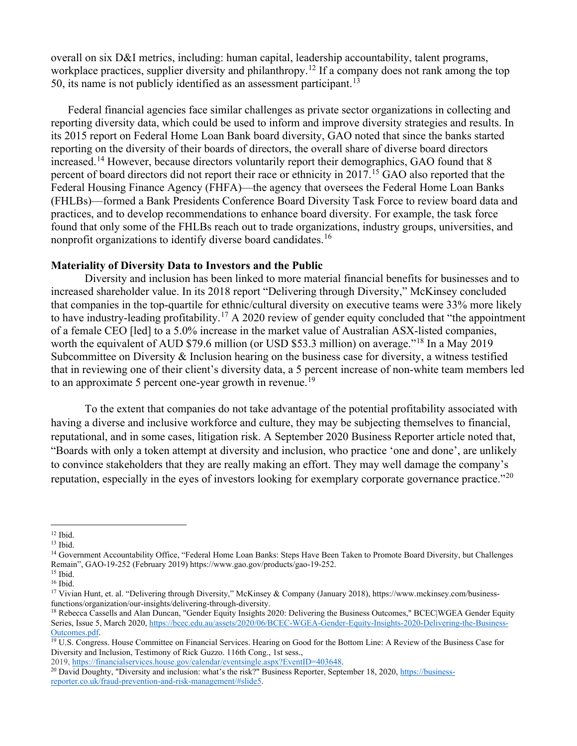overall on six D&I metrics, including: human capital, leadership accountability, talent programs, workplace practices, supplier diversity and philanthropy.<sup>[12](#page-2-0)</sup> If a company does not rank among the top 50, its name is not publicly identified as an assessment participant.<sup>[13](#page-2-1)</sup>

Federal financial agencies face similar challenges as private sector organizations in collecting and reporting diversity data, which could be used to inform and improve diversity strategies and results. In its 2015 report on Federal Home Loan Bank board diversity, GAO noted that since the banks started reporting on the diversity of their boards of directors, the overall share of diverse board directors increased.<sup>[14](#page-2-2)</sup> However, because directors voluntarily report their demographics, GAO found that 8 percent of board directors did not report their race or ethnicity in 2017.<sup>[15](#page-2-3)</sup> GAO also reported that the Federal Housing Finance Agency (FHFA)—the agency that oversees the Federal Home Loan Banks (FHLBs)—formed a Bank Presidents Conference Board Diversity Task Force to review board data and practices, and to develop recommendations to enhance board diversity. For example, the task force found that only some of the FHLBs reach out to trade organizations, industry groups, universities, and nonprofit organizations to identify diverse board candidates.<sup>[16](#page-2-4)</sup>

#### **Materiality of Diversity Data to Investors and the Public**

Diversity and inclusion has been linked to more material financial benefits for businesses and to increased shareholder value. In its 2018 report "Delivering through Diversity," McKinsey concluded that companies in the top-quartile for ethnic/cultural diversity on executive teams were 33% more likely to have industry-leading profitability.[17](#page-2-5) A 2020 review of gender equity concluded that "the appointment of a female CEO [led] to a 5.0% increase in the market value of Australian ASX-listed companies, worth the equivalent of AUD \$79.6 million (or USD \$53.3 million) on average."<sup>[18](#page-2-6)</sup> In a May 2019 Subcommittee on Diversity & Inclusion hearing on the business case for diversity, a witness testified that in reviewing one of their client's diversity data, a 5 percent increase of non-white team members led to an approximate 5 percent one-year growth in revenue.<sup>[19](#page-2-7)</sup>

To the extent that companies do not take advantage of the potential profitability associated with having a diverse and inclusive workforce and culture, they may be subjecting themselves to financial, reputational, and in some cases, litigation risk. A September 2020 Business Reporter article noted that, "Boards with only a token attempt at diversity and inclusion, who practice 'one and done', are unlikely to convince stakeholders that they are really making an effort. They may well damage the company's reputation, especially in the eyes of investors looking for exemplary corporate governance practice."<sup>[20](#page-2-8)</sup>

<span id="page-2-0"></span><sup>12</sup> Ibid.

<span id="page-2-1"></span><sup>13</sup> Ibid.

<span id="page-2-2"></span><sup>&</sup>lt;sup>14</sup> Government Accountability Office, "Federal Home Loan Banks: Steps Have Been Taken to Promote Board Diversity, but Challenges Remain", GAO-19-252 (February 2019) https://www.gao.gov/products/gao-19-252.

<span id="page-2-4"></span><span id="page-2-3"></span> $^{\rm 16}$  Ibid.

<span id="page-2-5"></span><sup>17</sup> Vivian Hunt, et. al. "Delivering through Diversity," McKinsey & Company (January 2018), https://www.mckinsey.com/businessfunctions/organization/our-insights/delivering-through-diversity.

<span id="page-2-6"></span><sup>&</sup>lt;sup>18</sup> Rebecca Cassells and Alan Duncan, "Gender Equity Insights 2020: Delivering the Business Outcomes," BCEC|WGEA Gender Equity Series, Issue 5, March 2020[, https://bcec.edu.au/assets/2020/06/BCEC-WGEA-Gender-Equity-Insights-2020-Delivering-the-Business-](https://bcec.edu.au/assets/2020/06/BCEC-WGEA-Gender-Equity-Insights-2020-Delivering-the-Business-Outcomes.pdf)[Outcomes.pdf.](https://bcec.edu.au/assets/2020/06/BCEC-WGEA-Gender-Equity-Insights-2020-Delivering-the-Business-Outcomes.pdf) 19 U.S. Congress. House Committee on Financial Services. Hearing on Good for the Bottom Line: A Review of the Business Case for

<span id="page-2-7"></span>Diversity and Inclusion, Testimony of Rick Guzzo. 116th Cong., 1st sess.,

<span id="page-2-8"></span><sup>2019,</sup> https://financialservices.house.gov/calendar/eventsingle.aspx?EventID=403648.<br><sup>20</sup> David Doughty, "Diversity and inclusion: what's the risk?" Business Reporter, September 18, 2020, [https://business](https://business-reporter.co.uk/fraud-prevention-and-risk-management/#slide5)[reporter.co.uk/fraud-prevention-and-risk-management/#slide5.](https://business-reporter.co.uk/fraud-prevention-and-risk-management/#slide5)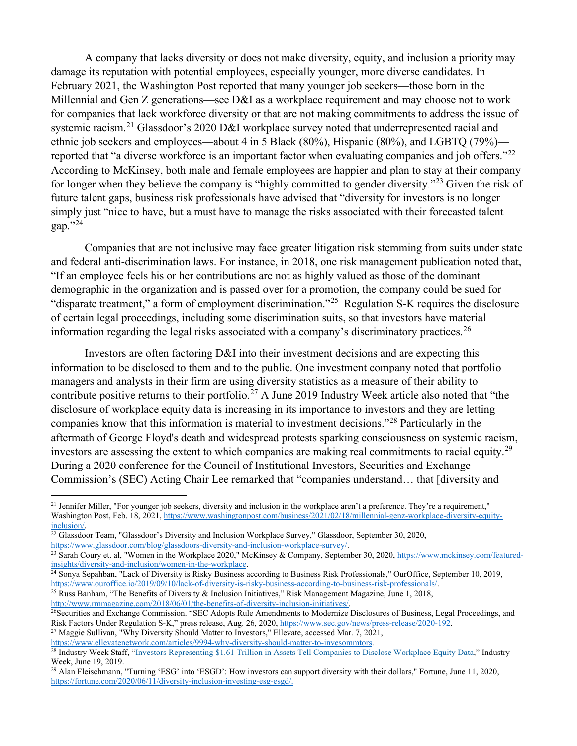A company that lacks diversity or does not make diversity, equity, and inclusion a priority may damage its reputation with potential employees, especially younger, more diverse candidates. In February 2021, the Washington Post reported that many younger job seekers—those born in the Millennial and Gen Z generations—see D&I as a workplace requirement and may choose not to work for companies that lack workforce diversity or that are not making commitments to address the issue of systemic racism.<sup>[21](#page-3-0)</sup> Glassdoor's 2020 D&I workplace survey noted that underrepresented racial and ethnic job seekers and employees—about 4 in 5 Black (80%), Hispanic (80%), and LGBTQ (79%)— reported that "a diverse workforce is an important factor when evaluating companies and job offers."<sup>[22](#page-3-1)</sup> According to McKinsey, both male and female employees are happier and plan to stay at their company for longer when they believe the company is "highly committed to gender diversity."[23](#page-3-2) Given the risk of future talent gaps, business risk professionals have advised that "diversity for investors is no longer simply just "nice to have, but a must have to manage the risks associated with their forecasted talent gap $.^{\cdot \cdot 24}$  $.^{\cdot \cdot 24}$  $.^{\cdot \cdot 24}$ 

Companies that are not inclusive may face greater litigation risk stemming from suits under state and federal anti-discrimination laws. For instance, in 2018, one risk management publication noted that, "If an employee feels his or her contributions are not as highly valued as those of the dominant demographic in the organization and is passed over for a promotion, the company could be sued for "disparate treatment," a form of employment discrimination."<sup>[25](#page-3-4)</sup> Regulation S-K requires the disclosure of certain legal proceedings, including some discrimination suits, so that investors have material information regarding the legal risks associated with a company's discriminatory practices.<sup>[26](#page-3-5)</sup>

Investors are often factoring D&I into their investment decisions and are expecting this information to be disclosed to them and to the public. One investment company noted that portfolio managers and analysts in their firm are using diversity statistics as a measure of their ability to contribute positive returns to their portfolio.<sup>[27](#page-3-6)</sup> A June 2019 Industry Week article also noted that "the disclosure of workplace equity data is increasing in its importance to investors and they are letting companies know that this information is material to investment decisions."[28](#page-3-7) Particularly in the aftermath of George Floyd's death and widespread protests sparking consciousness on systemic racism, investors are assessing the extent to which companies are making real commitments to racial equity.<sup>[29](#page-3-8)</sup> During a 2020 conference for the Council of Institutional Investors, Securities and Exchange Commission's (SEC) Acting Chair Lee remarked that "companies understand… that [diversity and

<span id="page-3-6"></span><sup>27</sup> Maggie Sullivan, "Why Diversity Should Matter to Investors," Ellevate, accessed Mar. 7, 2021, [https://www.ellevatenetwork.com/articles/9994-why-diversity-should-matter-to-invesommtors.](https://www.ellevatenetwork.com/articles/9994-why-diversity-should-matter-to-investors)

<span id="page-3-0"></span> $21$  Jennifer Miller, "For younger job seekers, diversity and inclusion in the workplace aren't a preference. They're a requirement," Washington Post, Feb. 18, 2021, [https://www.washingtonpost.com/business/2021/02/18/millennial-genz-workplace-diversity-equity-](https://www.washingtonpost.com/business/2021/02/18/millennial-genz-workplace-diversity-equity-inclusion/)

<span id="page-3-1"></span>inclusion/.<br><sup>22</sup> Glassdoor Team, "Glassdoor's Diversity and Inclusion Workplace Survey," Glassdoor, September 30, 2020, https://www.glassdoor.com/blog/glassdoors-diversity-and-inclusion-workplace-survey/.

<span id="page-3-2"></span><sup>&</sup>lt;sup>23</sup> Sarah Coury et. al, "Women in the Workplace 2020," McKinsey & Company, September 30, 2020, https://www.mckinsey.com/featured-<br>insights/diversity-and-inclusion/women-in-the-workplace.

<span id="page-3-3"></span><sup>&</sup>lt;sup>24</sup> Sonya Sepahban, "Lack of Diversity is Risky Business according to Business Risk Professionals," OurOffice, September 10, 2019, [https://www.ouroffice.io/2019/09/10/lack-of-diversity-is-risky-business-according-to-business-risk-professionals/.](https://www.ouroffice.io/2019/09/10/lack-of-diversity-is-risky-business-according-to-business-risk-professionals/)

<span id="page-3-4"></span><sup>&</sup>lt;sup>25</sup> Russ Banham, "The Benefits of Diversity & Inclusion Initiatives," Risk Management Magazine, June 1, 2018, http://www.rmmagazine.com/2018/06/01/the-benefits-of-diversity-inclusion-initiatives/.

<span id="page-3-5"></span><sup>&</sup>lt;sup>26</sup>Securities and Exchange Commission. "SEC Adopts Rule Amendments to Modernize Disclosures of Business, Legal Proceedings, and Risk Factors Under Regulation S-K," press release, Aug. 26, 2020, https://www.sec.gov/news/p

<span id="page-3-7"></span><sup>&</sup>lt;sup>28</sup> Industry Week Staff, ["Investors Representing \\$1.61 Trillion in Assets Tell Companies to Disclose Workplace Equity Data,](https://www.industryweek.com/talent/article/22027773/investors-representing-161-trillion-in-assets-tell-companies-to-disclose-workplace-equity-data)" Industry Week, June 19, 2019.

<span id="page-3-8"></span><sup>29</sup> Alan Fleischmann, "Turning 'ESG' into 'ESGD': How investors can support diversity with their dollars," Fortune, June 11, 2020, [https://fortune.com/2020/06/11/diversity-inclusion-investing-esg-esgd/.](https://fortune.com/2020/06/11/diversity-inclusion-investing-esg-esgd/)